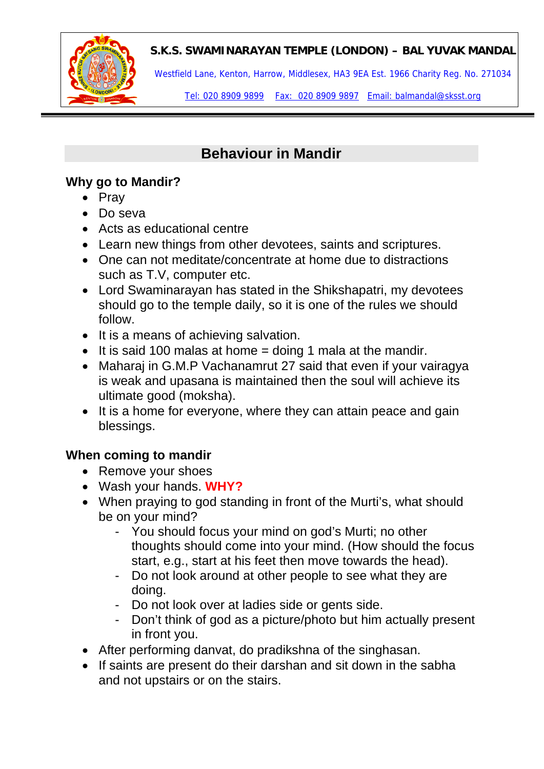**S.K.S. SWAMINARAYAN TEMPLE (LONDON) – BAL YUVAK MANDAL** 



Westfield Lane, Kenton, Harrow, Middlesex, HA3 9EA Est. 1966 Charity Reg. No. 271034

Tel: 020 8909 9899 Fax: 020 8909 9897 Email: balmandal@sksst.org

## **Behaviour in Mandir**

## **Why go to Mandir?**

- Pray
- Do seva
- Acts as educational centre
- Learn new things from other devotees, saints and scriptures.
- One can not meditate/concentrate at home due to distractions such as T.V, computer etc.
- Lord Swaminarayan has stated in the Shikshapatri, my devotees should go to the temple daily, so it is one of the rules we should follow.
- It is a means of achieving salvation.
- It is said 100 malas at home  $=$  doing 1 mala at the mandir.
- Maharai in G.M.P Vachanamrut 27 said that even if your vairagya is weak and upasana is maintained then the soul will achieve its ultimate good (moksha).
- It is a home for everyone, where they can attain peace and gain blessings.

## **When coming to mandir**

- Remove your shoes
- Wash your hands. **WHY?**
- When praying to god standing in front of the Murti's, what should be on your mind?
	- You should focus your mind on god's Murti; no other thoughts should come into your mind. (How should the focus start, e.g., start at his feet then move towards the head).
	- Do not look around at other people to see what they are doing.
	- Do not look over at ladies side or gents side.
	- Don't think of god as a picture/photo but him actually present in front you.
- After performing danvat, do pradikshna of the singhasan.
- If saints are present do their darshan and sit down in the sabha and not upstairs or on the stairs.